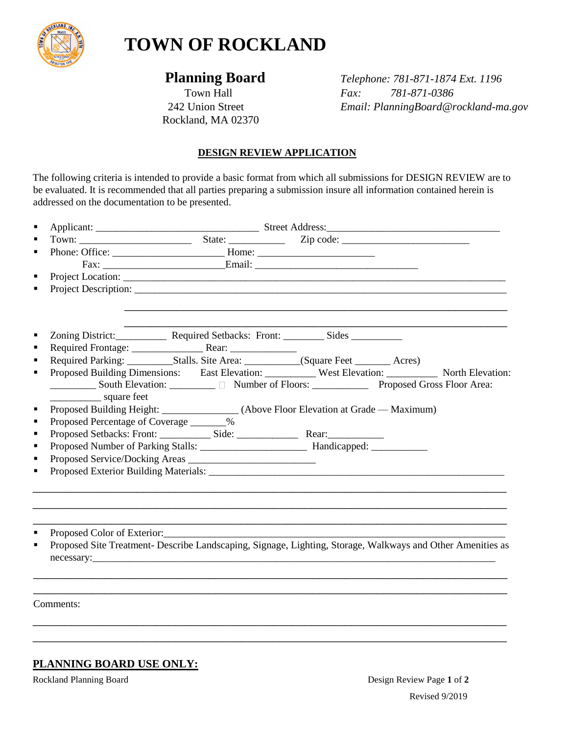

# **TOWN OF ROCKLAND**

Rockland, MA 02370

 **Planning Board** *Telephone: 781-871-1874 Ext. 1196* Town Hall *Fax: 781-871-0386* 242 Union Street *Email: PlanningBoard@rockland-ma.gov*

# **DESIGN REVIEW APPLICATION**

The following criteria is intended to provide a basic format from which all submissions for DESIGN REVIEW are to be evaluated. It is recommended that all parties preparing a submission insure all information contained herein is addressed on the documentation to be presented.

|                                          | Zoning District: Required Setbacks: Front: Sides __________                                                |  |  |  |
|------------------------------------------|------------------------------------------------------------------------------------------------------------|--|--|--|
|                                          |                                                                                                            |  |  |  |
|                                          |                                                                                                            |  |  |  |
|                                          | Proposed Building Dimensions: East Elevation: West Elevation: North Elevation:                             |  |  |  |
| square feet                              |                                                                                                            |  |  |  |
|                                          | Proposed Building Height: ________________(Above Floor Elevation at Grade — Maximum)                       |  |  |  |
| Proposed Percentage of Coverage _______% |                                                                                                            |  |  |  |
|                                          |                                                                                                            |  |  |  |
|                                          |                                                                                                            |  |  |  |
|                                          |                                                                                                            |  |  |  |
|                                          |                                                                                                            |  |  |  |
|                                          |                                                                                                            |  |  |  |
|                                          |                                                                                                            |  |  |  |
| Proposed Color of Exterior:              |                                                                                                            |  |  |  |
|                                          | Proposed Site Treatment- Describe Landscaping, Signage, Lighting, Storage, Walkways and Other Amenities as |  |  |  |
|                                          | necessary:                                                                                                 |  |  |  |

\_\_\_\_\_\_\_\_\_\_\_\_\_\_\_\_\_\_\_\_\_\_\_\_\_\_\_\_\_\_\_\_\_\_\_\_\_\_\_\_\_\_\_\_\_\_\_\_\_\_\_\_\_\_\_\_\_\_\_\_\_\_\_\_\_\_\_\_\_\_\_\_\_ \_\_\_\_\_\_\_\_\_\_\_\_\_\_\_\_\_\_\_\_\_\_\_\_\_\_\_\_\_\_\_\_\_\_\_\_\_\_\_\_\_\_\_\_\_\_\_\_\_\_\_\_\_\_\_\_\_\_\_\_\_\_\_\_\_\_\_\_\_\_\_\_\_

\_\_\_\_\_\_\_\_\_\_\_\_\_\_\_\_\_\_\_\_\_\_\_\_\_\_\_\_\_\_\_\_\_\_\_\_\_\_\_\_\_\_\_\_\_\_\_\_\_\_\_\_\_\_\_\_\_\_\_\_\_\_\_\_\_\_\_\_\_\_\_\_\_ \_\_\_\_\_\_\_\_\_\_\_\_\_\_\_\_\_\_\_\_\_\_\_\_\_\_\_\_\_\_\_\_\_\_\_\_\_\_\_\_\_\_\_\_\_\_\_\_\_\_\_\_\_\_\_\_\_\_\_\_\_\_\_\_\_\_\_\_\_\_\_\_\_

Comments:

# **PLANNING BOARD USE ONLY:**